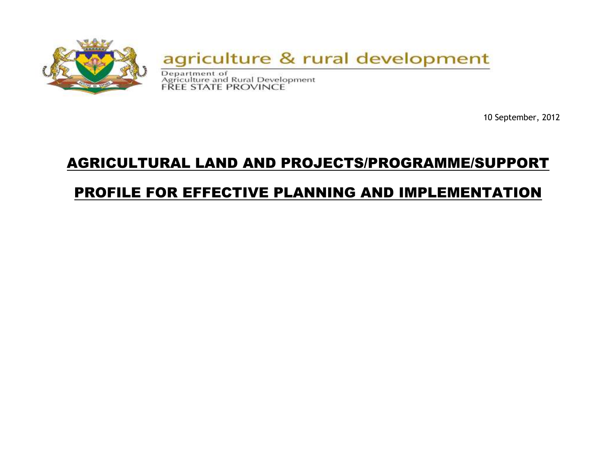

10 September, 2012

# AGRICULTURAL LAND AND PROJECTS/PROGRAMME/SUPPORT

# PROFILE FOR EFFECTIVE PLANNING AND IMPLEMENTATION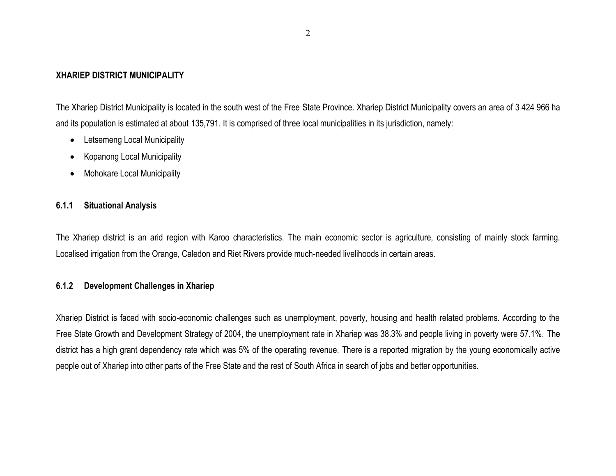#### **XHARIEP DISTRICT MUNICIPALITY**

The Xhariep District Municipality is located in the south west of the Free State Province. Xhariep District Municipality covers an area of 3 424 966 ha and its population is estimated at about 135,791. It is comprised of three local municipalities in its jurisdiction, namely:

- Letsemeng Local Municipality
- Kopanong Local Municipality
- Mohokare Local Municipality

#### **6.1.1 Situational Analysis**

The Xhariep district is an arid region with Karoo characteristics. The main economic sector is agriculture, consisting of mainly stock farming. Localised irrigation from the Orange, Caledon and Riet Rivers provide much-needed livelihoods in certain areas.

## **6.1.2 Development Challenges in Xhariep**

Xhariep District is faced with socio-economic challenges such as unemployment, poverty, housing and health related problems. According to the Free State Growth and Development Strategy of 2004, the unemployment rate in Xhariep was 38.3% and people living in poverty were 57.1%. The district has a high grant dependency rate which was 5% of the operating revenue. There is a reported migration by the young economically active people out of Xhariep into other parts of the Free State and the rest of South Africa in search of jobs and better opportunities.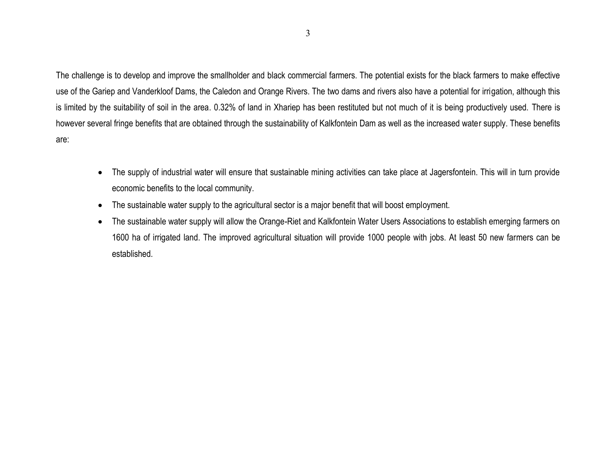The challenge is to develop and improve the smallholder and black commercial farmers. The potential exists for the black farmers to make effective use of the Gariep and Vanderkloof Dams, the Caledon and Orange Rivers. The two dams and rivers also have a potential for irrigation, although this is limited by the suitability of soil in the area. 0.32% of land in Xhariep has been restituted but not much of it is being productively used. There is however several fringe benefits that are obtained through the sustainability of Kalkfontein Dam as well as the increased water supply. These benefits are:

- The supply of industrial water will ensure that sustainable mining activities can take place at Jagersfontein. This will in turn provide economic benefits to the local community.
- The sustainable water supply to the agricultural sector is a major benefit that will boost employment.
- The sustainable water supply will allow the Orange-Riet and Kalkfontein Water Users Associations to establish emerging farmers on 1600 ha of irrigated land. The improved agricultural situation will provide 1000 people with jobs. At least 50 new farmers can be established.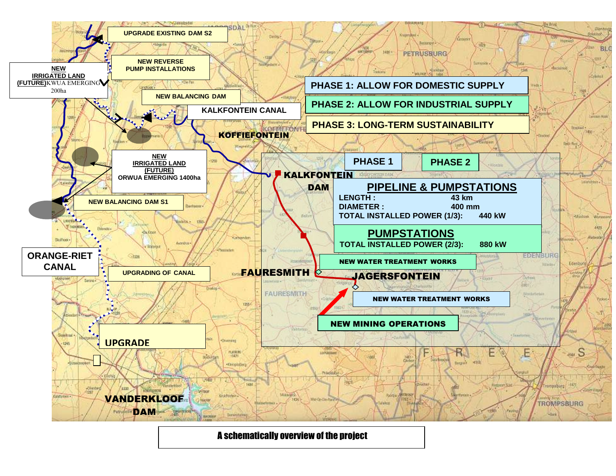

A schematically overview of the project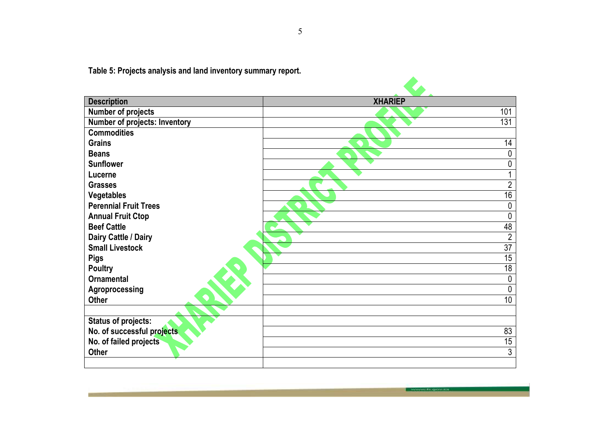**Table 5: Projects analysis and land inventory summary report.**

| <b>Description</b>                   | <b>XHARIEP</b>  |
|--------------------------------------|-----------------|
| <b>Number of projects</b>            | 101             |
| <b>Number of projects: Inventory</b> | 131             |
| <b>Commodities</b>                   |                 |
| <b>Grains</b>                        | 14              |
| <b>Beans</b>                         | 0               |
| <b>Sunflower</b>                     | 0               |
| Lucerne                              |                 |
| <b>Grasses</b>                       | $\overline{2}$  |
| Vegetables                           | $\overline{16}$ |
| <b>Perennial Fruit Trees</b>         | 0               |
| <b>Annual Fruit Ctop</b>             | 0               |
| <b>Beef Cattle</b>                   | 48              |
| Dairy Cattle / Dairy                 | $\overline{2}$  |
| <b>Small Livestock</b>               | $\overline{37}$ |
| <b>Pigs</b>                          | 15              |
| <b>Poultry</b>                       | 18              |
| <b>Ornamental</b>                    | 0               |
| Agroprocessing                       | 0               |
| <b>Other</b>                         | 10              |
|                                      |                 |
| <b>Status of projects:</b>           |                 |
| No. of successful projects           | 83              |
| No. of failed projects               | 15              |
| <b>Other</b>                         | 3               |
|                                      |                 |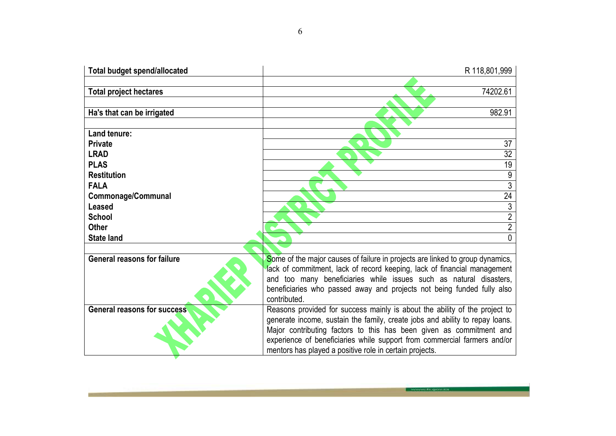| <b>Total budget spend/allocated</b> | R 118,801,999                                                                                                                                                                                                                                                                                                                                                            |  |
|-------------------------------------|--------------------------------------------------------------------------------------------------------------------------------------------------------------------------------------------------------------------------------------------------------------------------------------------------------------------------------------------------------------------------|--|
| <b>Total project hectares</b>       | 74202.61                                                                                                                                                                                                                                                                                                                                                                 |  |
| Ha's that can be irrigated          | 982.91                                                                                                                                                                                                                                                                                                                                                                   |  |
| Land tenure:                        |                                                                                                                                                                                                                                                                                                                                                                          |  |
| <b>Private</b><br><b>LRAD</b>       | 37                                                                                                                                                                                                                                                                                                                                                                       |  |
| <b>PLAS</b>                         | $\overline{32}$<br>19                                                                                                                                                                                                                                                                                                                                                    |  |
| <b>Restitution</b>                  | 9                                                                                                                                                                                                                                                                                                                                                                        |  |
| <b>FALA</b><br>Commonage/Communal   | $\overline{3}$<br>$\overline{24}$                                                                                                                                                                                                                                                                                                                                        |  |
| Leased                              | 3                                                                                                                                                                                                                                                                                                                                                                        |  |
| <b>School</b><br><b>Other</b>       | $\overline{2}$<br>$\overline{2}$                                                                                                                                                                                                                                                                                                                                         |  |
| <b>State land</b>                   | 0                                                                                                                                                                                                                                                                                                                                                                        |  |
|                                     |                                                                                                                                                                                                                                                                                                                                                                          |  |
| <b>General reasons for failure</b>  | Some of the major causes of failure in projects are linked to group dynamics,<br>lack of commitment, lack of record keeping, lack of financial management<br>and too many beneficiaries while issues such as natural disasters,<br>beneficiaries who passed away and projects not being funded fully also<br>contributed.                                                |  |
| <b>General reasons for success</b>  | Reasons provided for success mainly is about the ability of the project to<br>generate income, sustain the family, create jobs and ability to repay loans.<br>Major contributing factors to this has been given as commitment and<br>experience of beneficiaries while support from commercial farmers and/or<br>mentors has played a positive role in certain projects. |  |

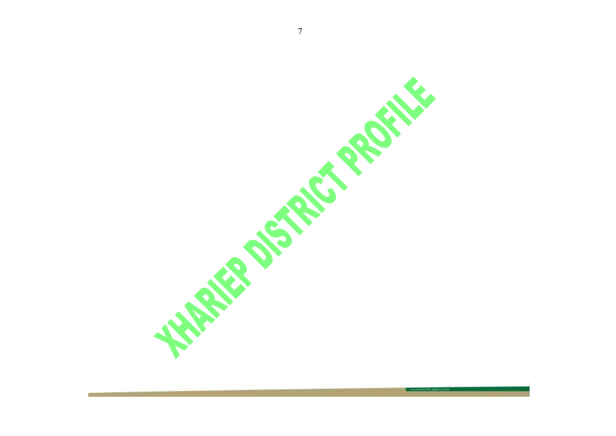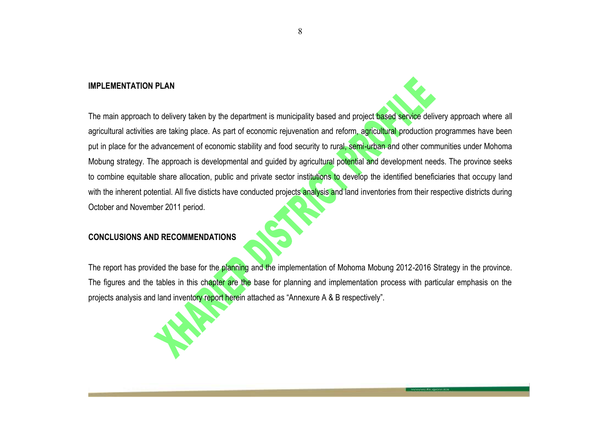# **IMPLEMENTATION PLAN**

The main approach to delivery taken by the department is municipality based and project based service delivery approach where all agricultural activities are taking place. As part of economic rejuvenation and reform, agricultural production programmes have been put in place for the advancement of economic stability and food security to rural, semi-urban and other communities under Mohoma Mobung strategy. The approach is developmental and guided by agricultural potential and development needs. The province seeks to combine equitable share allocation, public and private sector institutions to develop the identified beneficiaries that occupy land with the inherent potential. All five disticts have conducted projects analysis and land inventories from their respective districts during October and November 2011 period.

## **CONCLUSIONS AND RECOMMENDATIONS**

The report has provided the base for the planning and the implementation of Mohoma Mobung 2012-2016 Strategy in the province. The figures and the tables in this chapter are the base for planning and implementation process with particular emphasis on the projects analysis and land inventory report herein attached as "Annexure A & B respectively".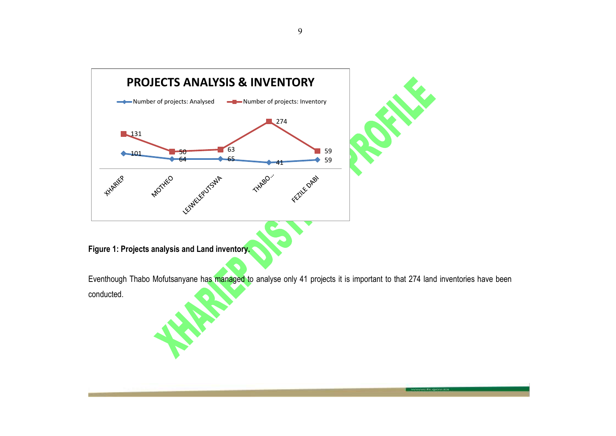

Eventhough Thabo Mofutsanyane has managed to analyse only 41 projects it is important to that 274 land inventories have been conducted.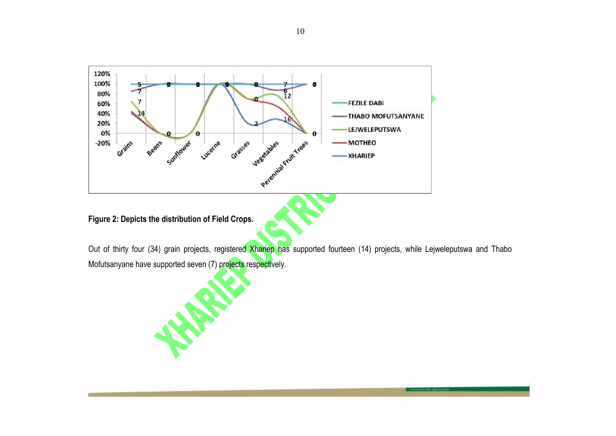

**Figure 2: Depicts the distribution of Field Crops.**

Out of thirty four (34) grain projects, registered Xhariep has supported fourteen (14) projects, while Lejweleputswa and Thabo Mofutsanyane have supported seven (7) projects respectively.

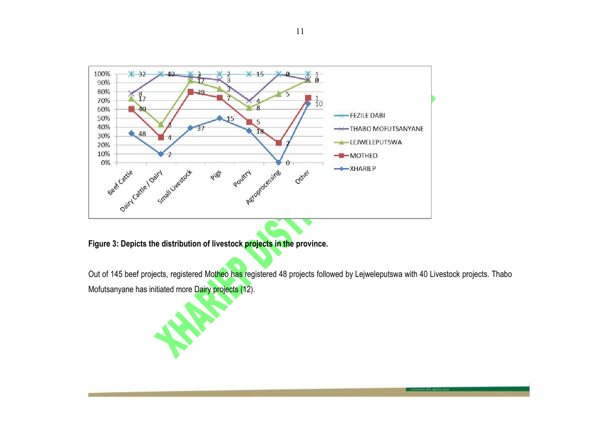

**Figure 3: Depicts the distribution of livestock projects in the province.**

Out of 145 beef projects, registered Motheo has registered 48 projects followed by Lejweleputswa with 40 Livestock projects. Thabo Mofutsanyane has initiated more Dairy projects (12).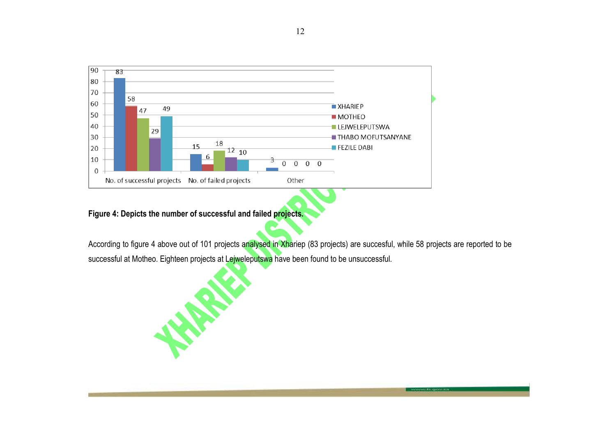

**Figure 4: Depicts the number of successful and failed projects.**

According to figure 4 above out of 101 projects analysed in Xhariep (83 projects) are succesful, while 58 projects are reported to be successful at Motheo. Eighteen projects at Lejweleputswa have been found to be unsuccessful.

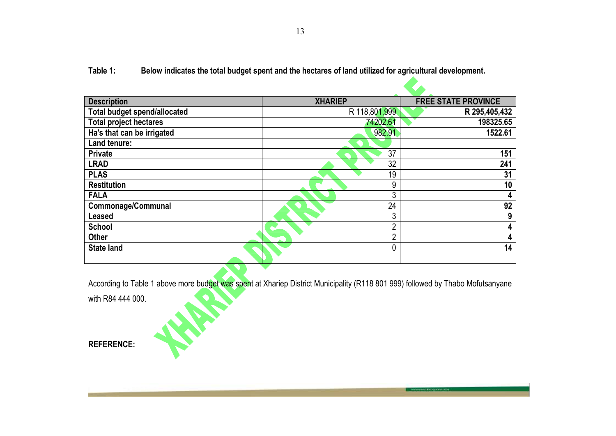**Table 1: Below indicates the total budget spent and the hectares of land utilized for agricultural development.**

| <b>Description</b>                  | <b>XHARIEP</b> | <b>FREE STATE PROVINCE</b> |
|-------------------------------------|----------------|----------------------------|
| <b>Total budget spend/allocated</b> | R 118,801,999  | R 295,405,432              |
| <b>Total project hectares</b>       | 74202.61       | 198325.65                  |
| Ha's that can be irrigated          | 982.91         | 1522.61                    |
| Land tenure:                        |                |                            |
| <b>Private</b>                      | 37             | 151                        |
| <b>LRAD</b>                         | 32             | 241                        |
| <b>PLAS</b>                         | 19             | 31                         |
| <b>Restitution</b>                  | 9              | 10                         |
| <b>FALA</b>                         | 3              | 4                          |
| <b>Commonage/Communal</b>           | 24             | 92                         |
| <b>Leased</b>                       | 3              | 9                          |
| <b>School</b>                       | ∩              | 4                          |
| <b>Other</b>                        | C              | 4                          |
| <b>State land</b>                   | $\Omega$       | 14                         |
|                                     |                |                            |

According to Table 1 above more budget was spent at Xhariep District Municipality (R118 801 999) followed by Thabo Mofutsanyane<br>with R84 444 000. with R84 444 000.

**REFERENCE:**

**Private Bag X01, Glen, 9360, Chemistry Building, Ground Floor, Glen Agricultural Institute, Tel: (051) 861 8424 Fax: (051) 861 8455, E-mail: masiteng@fs.agric.za.**

**CAN**